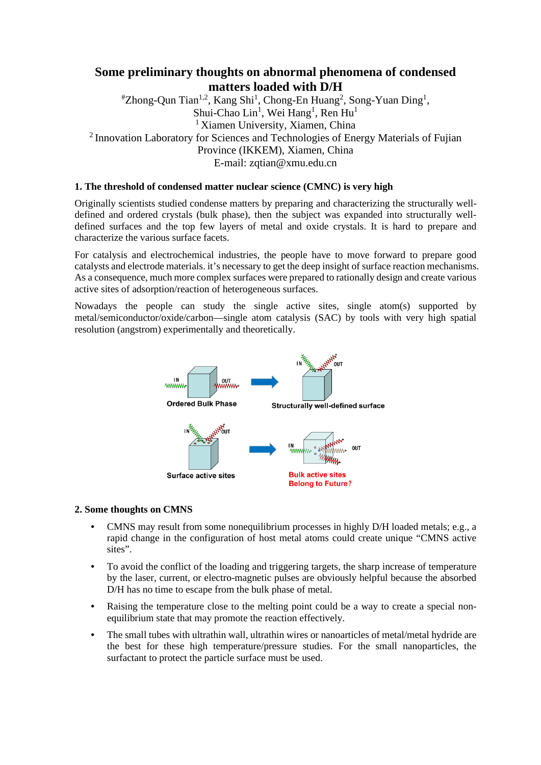## **Some preliminary thoughts on abnormal phenomena of condensed matters loaded with D/H**

#Zhong-Qun Tian<sup>1,2</sup>, Kang Shi<sup>1</sup>, Chong-En Huang<sup>2</sup>, Song-Yuan Ding<sup>1</sup>, Shui-Chao Lin<sup>1</sup>, Wei Hang<sup>1</sup>, Ren Hu<sup>1</sup> <sup>1</sup> Xiamen University, Xiamen, China <sup>2</sup> Innovation Laboratory for Sciences and Technologies of Energy Materials of Fujian Province (IKKEM), Xiamen, China E-mail: zqtian@xmu.edu.cn

## **1. The threshold of condensed matter nuclear science (CMNC) is very high**

Originally scientists studied condense matters by preparing and characterizing the structurally welldefined and ordered crystals (bulk phase), then the subject was expanded into structurally welldefined surfaces and the top few layers of metal and oxide crystals. It is hard to prepare and characterize the various surface facets.

For catalysis and electrochemical industries, the people have to move forward to prepare good catalysts and electrode materials. it's necessary to get the deep insight of surface reaction mechanisms. As a consequence, much more complex surfaces were prepared to rationally design and create various active sites of adsorption/reaction of heterogeneous surfaces.

Nowadays the people can study the single active sites, single atom(s) supported by metal/semiconductor/oxide/carbon—single atom catalysis (SAC) by tools with very high spatial resolution (angstrom) experimentally and theoretically.



## **2. Some thoughts on CMNS**

- CMNS may result from some nonequilibrium processes in highly D/H loaded metals; e.g., a rapid change in the configuration of host metal atoms could create unique "CMNS active sites".
- To avoid the conflict of the loading and triggering targets, the sharp increase of temperature by the laser, current, or electro-magnetic pulses are obviously helpful because the absorbed D/H has no time to escape from the bulk phase of metal.
- Raising the temperature close to the melting point could be a way to create a special nonequilibrium state that may promote the reaction effectively.
- The small tubes with ultrathin wall, ultrathin wires or nanoarticles of metal/metal hydride are the best for these high temperature/pressure studies. For the small nanoparticles, the surfactant to protect the particle surface must be used.